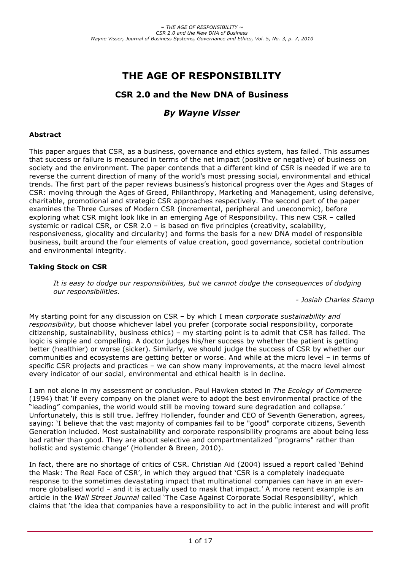# **THE AGE OF RESPONSIBILITY**

## **CSR 2.0 and the New DNA of Business**

## *By Wayne Visser*

#### **Abstract**

This paper argues that CSR, as a business, governance and ethics system, has failed. This assumes that success or failure is measured in terms of the net impact (positive or negative) of business on society and the environment. The paper contends that a different kind of CSR is needed if we are to reverse the current direction of many of the world's most pressing social, environmental and ethical trends. The first part of the paper reviews business's historical progress over the Ages and Stages of CSR: moving through the Ages of Greed, Philanthropy, Marketing and Management, using defensive, charitable, promotional and strategic CSR approaches respectively. The second part of the paper examines the Three Curses of Modern CSR (incremental, peripheral and uneconomic), before exploring what CSR might look like in an emerging Age of Responsibility. This new CSR – called systemic or radical CSR, or CSR 2.0 – is based on five principles (creativity, scalability, responsiveness, glocality and circularity) and forms the basis for a new DNA model of responsible business, built around the four elements of value creation, good governance, societal contribution and environmental integrity.

#### **Taking Stock on CSR**

*It is easy to dodge our responsibilities, but we cannot dodge the consequences of dodging our responsibilities.*

*- Josiah Charles Stamp*

My starting point for any discussion on CSR – by which I mean *corporate sustainability and responsibility*, but choose whichever label you prefer (corporate social responsibility, corporate citizenship, sustainability, business ethics) – my starting point is to admit that CSR has failed. The logic is simple and compelling. A doctor judges his/her success by whether the patient is getting better (healthier) or worse (sicker). Similarly, we should judge the success of CSR by whether our communities and ecosystems are getting better or worse. And while at the micro level – in terms of specific CSR projects and practices – we can show many improvements, at the macro level almost every indicator of our social, environmental and ethical health is in decline.

I am not alone in my assessment or conclusion. Paul Hawken stated in *The Ecology of Commerce* (1994) that 'if every company on the planet were to adopt the best environmental practice of the "leading" companies, the world would still be moving toward sure degradation and collapse.' Unfortunately, this is still true. Jeffrey Hollender, founder and CEO of Seventh Generation, agrees, saying: 'I believe that the vast majority of companies fail to be "good" corporate citizens, Seventh Generation included. Most sustainability and corporate responsibility programs are about being less bad rather than good. They are about selective and compartmentalized "programs" rather than holistic and systemic change' (Hollender & Breen, 2010).

In fact, there are no shortage of critics of CSR. Christian Aid (2004) issued a report called 'Behind the Mask: The Real Face of CSR', in which they argued that 'CSR is a completely inadequate response to the sometimes devastating impact that multinational companies can have in an evermore globalised world – and it is actually used to mask that impact.' A more recent example is an article in the *Wall Street Journal* called 'The Case Against Corporate Social Responsibility', which claims that 'the idea that companies have a responsibility to act in the public interest and will profit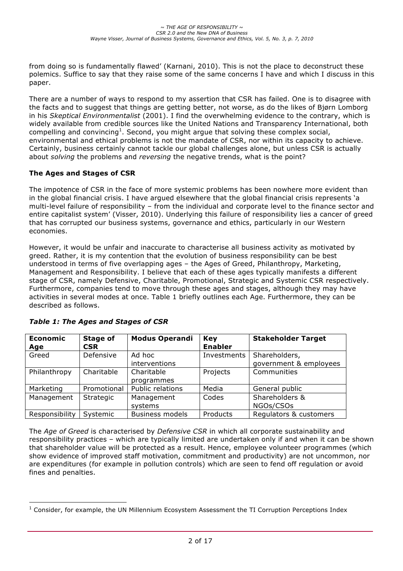from doing so is fundamentally flawed' (Karnani, 2010). This is not the place to deconstruct these polemics. Suffice to say that they raise some of the same concerns I have and which I discuss in this paper.

There are a number of ways to respond to my assertion that CSR has failed. One is to disagree with the facts and to suggest that things are getting better, not worse, as do the likes of Bjørn Lomborg in his *Skeptical Environmentalist* (2001). I find the overwhelming evidence to the contrary, which is widely available from credible sources like the United Nations and Transparency International, both compelling and convincing<sup>1</sup>. Second, you might argue that solving these complex social, environmental and ethical problems is not the mandate of CSR, nor within its capacity to achieve. Certainly, business certainly cannot tackle our global challenges alone, but unless CSR is actually about *solving* the problems and *reversing* the negative trends, what is the point?

## **The Ages and Stages of CSR**

The impotence of CSR in the face of more systemic problems has been nowhere more evident than in the global financial crisis. I have argued elsewhere that the global financial crisis represents 'a multi-level failure of responsibility – from the individual and corporate level to the finance sector and entire capitalist system' (Visser, 2010). Underlying this failure of responsibility lies a cancer of greed that has corrupted our business systems, governance and ethics, particularly in our Western economies.

However, it would be unfair and inaccurate to characterise all business activity as motivated by greed. Rather, it is my contention that the evolution of business responsibility can be best understood in terms of five overlapping ages – the Ages of Greed, Philanthropy, Marketing, Management and Responsibility. I believe that each of these ages typically manifests a different stage of CSR, namely Defensive, Charitable, Promotional, Strategic and Systemic CSR respectively. Furthermore, companies tend to move through these ages and stages, although they may have activities in several modes at once. Table 1 briefly outlines each Age. Furthermore, they can be described as follows.

| <b>Economic</b><br>Age | <b>Stage of</b><br><b>CSR</b> | <b>Modus Operandi</b>                       | <b>Key</b><br><b>Enabler</b> | <b>Stakeholder Target</b>               |
|------------------------|-------------------------------|---------------------------------------------|------------------------------|-----------------------------------------|
| Greed                  | Defensive                     | Ad hoc<br>interventions                     | Investments                  | Shareholders,<br>government & employees |
| Philanthropy           | Charitable                    | Charitable<br>Projects<br>programmes        |                              | Communities                             |
| Marketing              | Promotional                   | Public relations                            | Media                        | General public                          |
| Management             | Strategic                     | Management<br>Codes<br>NGOs/CSOs<br>systems |                              | Shareholders &                          |
| Responsibility         | Systemic                      | <b>Business models</b>                      | Products                     | Requlators & customers                  |

## *Table 1: The Ages and Stages of CSR*

The *Age of Greed* is characterised by *Defensive CSR* in which all corporate sustainability and responsibility practices – which are typically limited are undertaken only if and when it can be shown that shareholder value will be protected as a result. Hence, employee volunteer programmes (which show evidence of improved staff motivation, commitment and productivity) are not uncommon, nor are expenditures (for example in pollution controls) which are seen to fend off regulation or avoid fines and penalties.

 $\overline{a}$  $<sup>1</sup>$  Consider, for example, the UN Millennium Ecosystem Assessment the TI Corruption Perceptions Index</sup>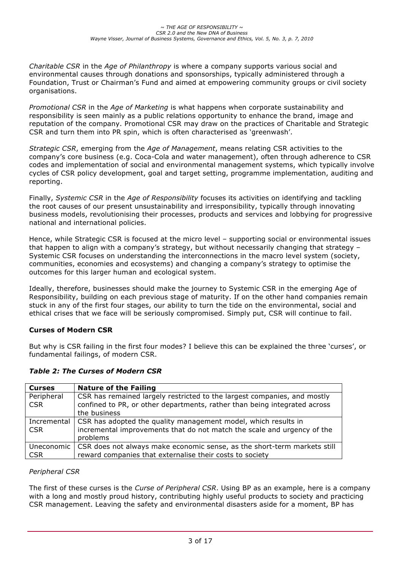*Charitable CSR* in the *Age of Philanthropy* is where a company supports various social and environmental causes through donations and sponsorships, typically administered through a Foundation, Trust or Chairman's Fund and aimed at empowering community groups or civil society organisations.

*Promotional CSR* in the *Age of Marketing* is what happens when corporate sustainability and responsibility is seen mainly as a public relations opportunity to enhance the brand, image and reputation of the company. Promotional CSR may draw on the practices of Charitable and Strategic CSR and turn them into PR spin, which is often characterised as 'greenwash'.

*Strategic CSR*, emerging from the *Age of Management*, means relating CSR activities to the company's core business (e.g. Coca-Cola and water management), often through adherence to CSR codes and implementation of social and environmental management systems, which typically involve cycles of CSR policy development, goal and target setting, programme implementation, auditing and reporting.

Finally, *Systemic CSR* in the *Age of Responsibility* focuses its activities on identifying and tackling the root causes of our present unsustainability and irresponsibility, typically through innovating business models, revolutionising their processes, products and services and lobbying for progressive national and international policies.

Hence, while Strategic CSR is focused at the micro level – supporting social or environmental issues that happen to align with a company's strategy, but without necessarily changing that strategy – Systemic CSR focuses on understanding the interconnections in the macro level system (society, communities, economies and ecosystems) and changing a company's strategy to optimise the outcomes for this larger human and ecological system.

Ideally, therefore, businesses should make the journey to Systemic CSR in the emerging Age of Responsibility, building on each previous stage of maturity. If on the other hand companies remain stuck in any of the first four stages, our ability to turn the tide on the environmental, social and ethical crises that we face will be seriously compromised. Simply put, CSR will continue to fail.

## **Curses of Modern CSR**

But why is CSR failing in the first four modes? I believe this can be explained the three 'curses', or fundamental failings, of modern CSR.

| <b>Curses</b>             | <b>Nature of the Failing</b>                                                                                                                                          |
|---------------------------|-----------------------------------------------------------------------------------------------------------------------------------------------------------------------|
| Peripheral<br><b>CSR</b>  | CSR has remained largely restricted to the largest companies, and mostly<br>confined to PR, or other departments, rather than being integrated across<br>the business |
| Incremental<br><b>CSR</b> | CSR has adopted the quality management model, which results in<br>incremental improvements that do not match the scale and urgency of the<br>problems                 |
| <b>CSR</b>                | Uneconomic   CSR does not always make economic sense, as the short-term markets still<br>reward companies that externalise their costs to society                     |

## *Table 2: The Curses of Modern CSR*

## *Peripheral CSR*

The first of these curses is the *Curse of Peripheral CSR*. Using BP as an example, here is a company with a long and mostly proud history, contributing highly useful products to society and practicing CSR management. Leaving the safety and environmental disasters aside for a moment, BP has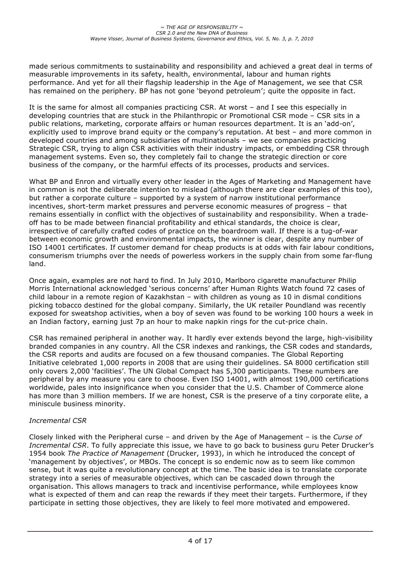made serious commitments to sustainability and responsibility and achieved a great deal in terms of measurable improvements in its safety, health, environmental, labour and human rights performance. And yet for all their flagship leadership in the Age of Management, we see that CSR has remained on the periphery. BP has not gone 'beyond petroleum'; quite the opposite in fact.

It is the same for almost all companies practicing CSR. At worst – and I see this especially in developing countries that are stuck in the Philanthropic or Promotional CSR mode – CSR sits in a public relations, marketing, corporate affairs or human resources department. It is an 'add-on', explicitly used to improve brand equity or the company's reputation. At best – and more common in developed countries and among subsidiaries of multinationals – we see companies practicing Strategic CSR, trying to align CSR activities with their industry impacts, or embedding CSR through management systems. Even so, they completely fail to change the strategic direction or core business of the company, or the harmful effects of its processes, products and services.

What BP and Enron and virtually every other leader in the Ages of Marketing and Management have in common is not the deliberate intention to mislead (although there are clear examples of this too), but rather a corporate culture – supported by a system of narrow institutional performance incentives, short-term market pressures and perverse economic measures of progress – that remains essentially in conflict with the objectives of sustainability and responsibility. When a tradeoff has to be made between financial profitability and ethical standards, the choice is clear, irrespective of carefully crafted codes of practice on the boardroom wall. If there is a tug-of-war between economic growth and environmental impacts, the winner is clear, despite any number of ISO 14001 certificates. If customer demand for cheap products is at odds with fair labour conditions, consumerism triumphs over the needs of powerless workers in the supply chain from some far-flung land.

Once again, examples are not hard to find. In July 2010, Marlboro cigarette manufacturer Philip Morris International acknowledged 'serious concerns' after Human Rights Watch found 72 cases of child labour in a remote region of Kazakhstan – with children as young as 10 in dismal conditions picking tobacco destined for the global company. Similarly, the UK retailer Poundland was recently exposed for sweatshop activities, when a boy of seven was found to be working 100 hours a week in an Indian factory, earning just 7p an hour to make napkin rings for the cut-price chain.

CSR has remained peripheral in another way. It hardly ever extends beyond the large, high-visibility branded companies in any country. All the CSR indexes and rankings, the CSR codes and standards, the CSR reports and audits are focused on a few thousand companies. The Global Reporting Initiative celebrated 1,000 reports in 2008 that are using their guidelines. SA 8000 certification still only covers 2,000 'facilities'. The UN Global Compact has 5,300 participants. These numbers are peripheral by any measure you care to choose. Even ISO 14001, with almost 190,000 certifications worldwide, pales into insignificance when you consider that the U.S. Chamber of Commerce alone has more than 3 million members. If we are honest, CSR is the preserve of a tiny corporate elite, a miniscule business minority.

## *Incremental CSR*

Closely linked with the Peripheral curse – and driven by the Age of Management – is the *Curse of Incremental CSR*. To fully appreciate this issue, we have to go back to business guru Peter Drucker's 1954 book *The Practice of Management* (Drucker, 1993), in which he introduced the concept of 'management by objectives', or MBOs. The concept is so endemic now as to seem like common sense, but it was quite a revolutionary concept at the time. The basic idea is to translate corporate strategy into a series of measurable objectives, which can be cascaded down through the organisation. This allows managers to track and incentivise performance, while employees know what is expected of them and can reap the rewards if they meet their targets. Furthermore, if they participate in setting those objectives, they are likely to feel more motivated and empowered.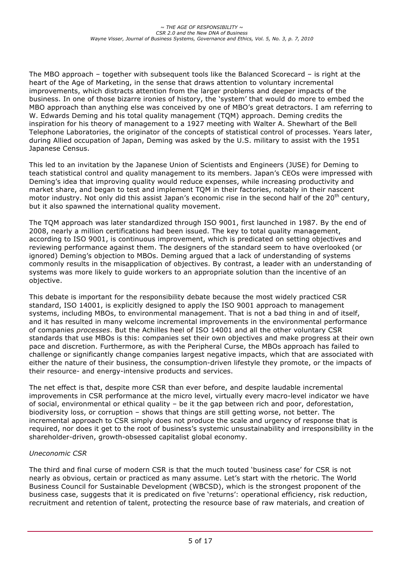The MBO approach – together with subsequent tools like the Balanced Scorecard – is right at the heart of the Age of Marketing, in the sense that draws attention to voluntary incremental improvements, which distracts attention from the larger problems and deeper impacts of the business. In one of those bizarre ironies of history, the 'system' that would do more to embed the MBO approach than anything else was conceived by one of MBO's great detractors. I am referring to W. Edwards Deming and his total quality management (TQM) approach. Deming credits the inspiration for his theory of management to a 1927 meeting with Walter A. Shewhart of the Bell Telephone Laboratories, the originator of the concepts of statistical control of processes. Years later, during Allied occupation of Japan, Deming was asked by the U.S. military to assist with the 1951 Japanese Census.

This led to an invitation by the Japanese Union of Scientists and Engineers (JUSE) for Deming to teach statistical control and quality management to its members. Japan's CEOs were impressed with Deming's idea that improving quality would reduce expenses, while increasing productivity and market share, and began to test and implement TQM in their factories, notably in their nascent motor industry. Not only did this assist Japan's economic rise in the second half of the 20<sup>th</sup> century, but it also spawned the international quality movement.

The TQM approach was later standardized through ISO 9001, first launched in 1987. By the end of 2008, nearly a million certifications had been issued. The key to total quality management, according to ISO 9001, is continuous improvement, which is predicated on setting objectives and reviewing performance against them. The designers of the standard seem to have overlooked (or ignored) Deming's objection to MBOs. Deming argued that a lack of understanding of systems commonly results in the misapplication of objectives. By contrast, a leader with an understanding of systems was more likely to guide workers to an appropriate solution than the incentive of an objective.

This debate is important for the responsibility debate because the most widely practiced CSR standard, ISO 14001, is explicitly designed to apply the ISO 9001 approach to management systems, including MBOs, to environmental management. That is not a bad thing in and of itself, and it has resulted in many welcome incremental improvements in the environmental performance of companies *processes*. But the Achilles heel of ISO 14001 and all the other voluntary CSR standards that use MBOs is this: companies set their own objectives and make progress at their own pace and discretion. Furthermore, as with the Peripheral Curse, the MBOs approach has failed to challenge or significantly change companies largest negative impacts, which that are associated with either the nature of their business, the consumption-driven lifestyle they promote, or the impacts of their resource- and energy-intensive products and services.

The net effect is that, despite more CSR than ever before, and despite laudable incremental improvements in CSR performance at the micro level, virtually every macro-level indicator we have of social, environmental or ethical quality – be it the gap between rich and poor, deforestation, biodiversity loss, or corruption – shows that things are still getting worse, not better. The incremental approach to CSR simply does not produce the scale and urgency of response that is required, nor does it get to the root of business's systemic unsustainability and irresponsibility in the shareholder-driven, growth-obsessed capitalist global economy.

## *Uneconomic CSR*

The third and final curse of modern CSR is that the much touted 'business case' for CSR is not nearly as obvious, certain or practiced as many assume. Let's start with the rhetoric. The World Business Council for Sustainable Development (WBCSD), which is the strongest proponent of the business case, suggests that it is predicated on five 'returns': operational efficiency, risk reduction, recruitment and retention of talent, protecting the resource base of raw materials, and creation of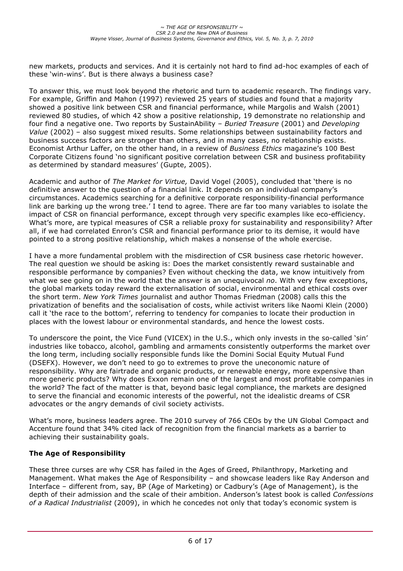new markets, products and services. And it is certainly not hard to find ad-hoc examples of each of these 'win-wins'. But is there always a business case?

To answer this, we must look beyond the rhetoric and turn to academic research. The findings vary. For example, Griffin and Mahon (1997) reviewed 25 years of studies and found that a majority showed a positive link between CSR and financial performance, while Margolis and Walsh (2001) reviewed 80 studies, of which 42 show a positive relationship, 19 demonstrate no relationship and four find a negative one. Two reports by SustainAbility – *Buried Treasure* (2001) and *Developing Value* (2002) – also suggest mixed results. Some relationships between sustainability factors and business success factors are stronger than others, and in many cases, no relationship exists. Economist Arthur Laffer, on the other hand, in a review of *Business Ethics* magazine's 100 Best Corporate Citizens found 'no significant positive correlation between CSR and business profitability as determined by standard measures' (Gupte, 2005).

Academic and author of *The Market for Virtue,* David Vogel (2005), concluded that 'there is no definitive answer to the question of a financial link. It depends on an individual company's circumstances. Academics searching for a definitive corporate responsibility-financial performance link are barking up the wrong tree.' I tend to agree. There are far too many variables to isolate the impact of CSR on financial performance, except through very specific examples like eco-efficiency. What's more, are typical measures of CSR a reliable proxy for sustainability and responsibility? After all, if we had correlated Enron's CSR and financial performance prior to its demise, it would have pointed to a strong positive relationship, which makes a nonsense of the whole exercise.

I have a more fundamental problem with the misdirection of CSR business case rhetoric however. The real question we should be asking is: Does the market consistently reward sustainable and responsible performance by companies? Even without checking the data, we know intuitively from what we see going on in the world that the answer is an unequivocal *no*. With very few exceptions, the global markets today reward the externalisation of social, environmental and ethical costs over the short term. *New York Times* journalist and author Thomas Friedman (2008) calls this the privatization of benefits and the socialisation of costs, while activist writers like Naomi Klein (2000) call it 'the race to the bottom', referring to tendency for companies to locate their production in places with the lowest labour or environmental standards, and hence the lowest costs.

To underscore the point, the Vice Fund (VICEX) in the U.S., which only invests in the so-called 'sin' industries like tobacco, alcohol, gambling and armaments consistently outperforms the market over the long term, including socially responsible funds like the Domini Social Equity Mutual Fund (DSEFX). However, we don't need to go to extremes to prove the uneconomic nature of responsibility. Why are fairtrade and organic products, or renewable energy, more expensive than more generic products? Why does Exxon remain one of the largest and most profitable companies in the world? The fact of the matter is that, beyond basic legal compliance, the markets are designed to serve the financial and economic interests of the powerful, not the idealistic dreams of CSR advocates or the angry demands of civil society activists.

What's more, business leaders agree. The 2010 survey of 766 CEOs by the UN Global Compact and Accenture found that 34% cited lack of recognition from the financial markets as a barrier to achieving their sustainability goals.

## **The Age of Responsibility**

These three curses are why CSR has failed in the Ages of Greed, Philanthropy, Marketing and Management. What makes the Age of Responsibility – and showcase leaders like Ray Anderson and Interface – different from, say, BP (Age of Marketing) or Cadbury's (Age of Management), is the depth of their admission and the scale of their ambition. Anderson's latest book is called *Confessions of a Radical Industrialist* (2009), in which he concedes not only that today's economic system is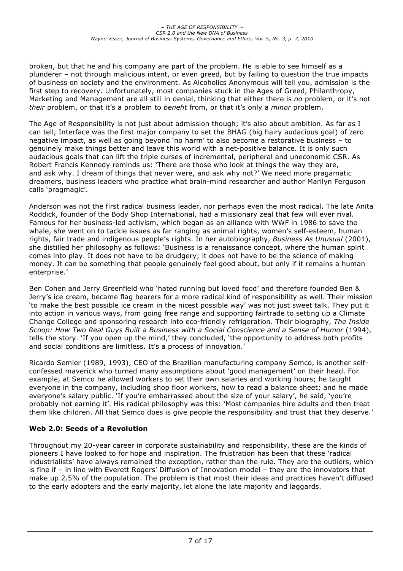broken, but that he and his company are part of the problem. He is able to see himself as a plunderer – not through malicious intent, or even greed, but by failing to question the true impacts of business on society and the environment. As Alcoholics Anonymous will tell you, admission is the first step to recovery. Unfortunately, most companies stuck in the Ages of Greed, Philanthropy, Marketing and Management are all still in denial, thinking that either there is *no* problem, or it's not *their* problem, or that it's a problem to *benefit* from, or that it's only a *minor* problem.

The Age of Responsibility is not just about admission though; it's also about ambition. As far as I can tell, Interface was the first major company to set the BHAG (big hairy audacious goal) of zero negative impact, as well as going beyond 'no harm' to also become a restorative business – to genuinely make things better and leave this world with a net-positive balance. It is only such audacious goals that can lift the triple curses of incremental, peripheral and uneconomic CSR. As Robert Francis Kennedy reminds us: 'There are those who look at things the way they are, and ask why. I dream of things that never were, and ask why not?' We need more pragamatic dreamers, business leaders who practice what brain-mind researcher and author Marilyn Ferguson calls 'pragmagic'.

Anderson was not the first radical business leader, nor perhaps even the most radical. The late Anita Roddick, founder of the Body Shop International, had a missionary zeal that few will ever rival. Famous for her business-led activism, which began as an alliance with WWF in 1986 to save the whale, she went on to tackle issues as far ranging as animal rights, women's self-esteem, human rights, fair trade and indigenous people's rights. In her autobiography, *Business As Unusual* (2001), she distilled her philosophy as follows: 'Business is a renaissance concept, where the human spirit comes into play. It does not have to be drudgery; it does not have to be the science of making money. It can be something that people genuinely feel good about, but only if it remains a human enterprise.'

Ben Cohen and Jerry Greenfield who 'hated running but loved food' and therefore founded Ben & Jerry's ice cream, became flag bearers for a more radical kind of responsibility as well. Their mission 'to make the best possible ice cream in the nicest possible way' was not just sweet talk. They put it into action in various ways, from going free range and supporting fairtrade to setting up a Climate Change College and sponsoring research into eco-friendly refrigeration. Their biography, *The Inside Scoop: How Two Real Guys Built a Business with a Social Conscience and a Sense of Humor* (1994), tells the story. 'If you open up the mind,' they concluded, 'the opportunity to address both profits and social conditions are limitless. It's a process of innovation.'

Ricardo Semler (1989, 1993), CEO of the Brazilian manufacturing company Semco, is another selfconfessed maverick who turned many assumptions about 'good management' on their head. For example, at Semco he allowed workers to set their own salaries and working hours; he taught everyone in the company, including shop floor workers, how to read a balance sheet; and he made everyone's salary public. 'If you're embarrassed about the size of your salary', he said, 'you're probably not earning it'. His radical philosophy was this: 'Most companies hire adults and then treat them like children. All that Semco does is give people the responsibility and trust that they deserve.'

## **Web 2.0: Seeds of a Revolution**

Throughout my 20-year career in corporate sustainability and responsibility, these are the kinds of pioneers I have looked to for hope and inspiration. The frustration has been that these 'radical industrialists' have always remained the exception, rather than the rule. They are the outliers, which is fine if – in line with Everett Rogers' Diffusion of Innovation model – they are the innovators that make up 2.5% of the population. The problem is that most their ideas and practices haven't diffused to the early adopters and the early majority, let alone the late majority and laggards.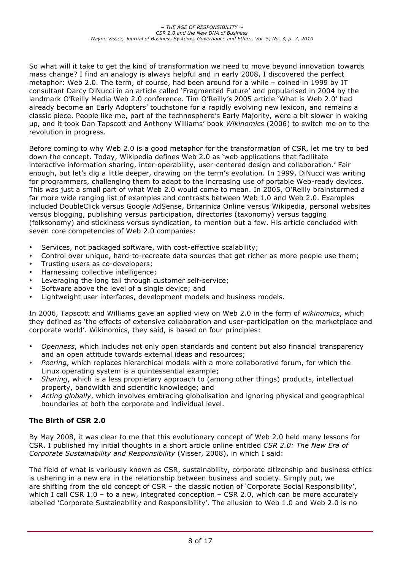So what will it take to get the kind of transformation we need to move beyond innovation towards mass change? I find an analogy is always helpful and in early 2008, I discovered the perfect metaphor: Web 2.0. The term, of course, had been around for a while – coined in 1999 by IT consultant Darcy DiNucci in an article called 'Fragmented Future' and popularised in 2004 by the landmark O'Reilly Media Web 2.0 conference. Tim O'Reilly's 2005 article 'What is Web 2.0' had already become an Early Adopters' touchstone for a rapidly evolving new lexicon, and remains a classic piece. People like me, part of the technosphere's Early Majority, were a bit slower in waking up, and it took Dan Tapscott and Anthony Williams' book *Wikinomics* (2006) to switch me on to the revolution in progress.

Before coming to why Web 2.0 is a good metaphor for the transformation of CSR, let me try to bed down the concept. Today, Wikipedia defines Web 2.0 as 'web applications that facilitate interactive information sharing, inter-operability, user-centered design and collaboration.' Fair enough, but let's dig a little deeper, drawing on the term's evolution. In 1999, DiNucci was writing for programmers, challenging them to adapt to the increasing use of portable Web-ready devices. This was just a small part of what Web 2.0 would come to mean. In 2005, O'Reilly brainstormed a far more wide ranging list of examples and contrasts between Web 1.0 and Web 2.0. Examples included DoubleClick versus Google AdSense, Britannica Online versus Wikipedia, personal websites versus blogging, publishing versus participation, directories (taxonomy) versus tagging (folksonomy) and stickiness versus syndication, to mention but a few. His article concluded with seven core competencies of Web 2.0 companies:

- Services, not packaged software, with cost-effective scalability;
- Control over unique, hard-to-recreate data sources that get richer as more people use them;
- Trusting users as co-developers;
- Harnessing collective intelligence;
- Leveraging the long tail through customer self-service;
- Software above the level of a single device; and
- Lightweight user interfaces, development models and business models.

In 2006, Tapscott and Williams gave an applied view on Web 2.0 in the form of *wikinomics*, which they defined as 'the effects of extensive collaboration and user-participation on the marketplace and corporate world'. Wikinomics, they said, is based on four principles:

- *Openness*, which includes not only open standards and content but also financial transparency and an open attitude towards external ideas and resources;
- *Peering*, which replaces hierarchical models with a more collaborative forum, for which the Linux operating system is a quintessential example;
- *Sharing*, which is a less proprietary approach to (among other things) products, intellectual property, bandwidth and scientific knowledge; and
- *Acting globally*, which involves embracing globalisation and ignoring physical and geographical boundaries at both the corporate and individual level.

## **The Birth of CSR 2.0**

By May 2008, it was clear to me that this evolutionary concept of Web 2.0 held many lessons for CSR. I published my initial thoughts in a short article online entitled *CSR 2.0: The New Era of Corporate Sustainability and Responsibility* (Visser, 2008), in which I said:

The field of what is variously known as CSR, sustainability, corporate citizenship and business ethics is ushering in a new era in the relationship between business and society. Simply put, we are shifting from the old concept of CSR – the classic notion of 'Corporate Social Responsibility', which I call CSR  $1.0$  – to a new, integrated conception – CSR 2.0, which can be more accurately labelled 'Corporate Sustainability and Responsibility'. The allusion to Web 1.0 and Web 2.0 is no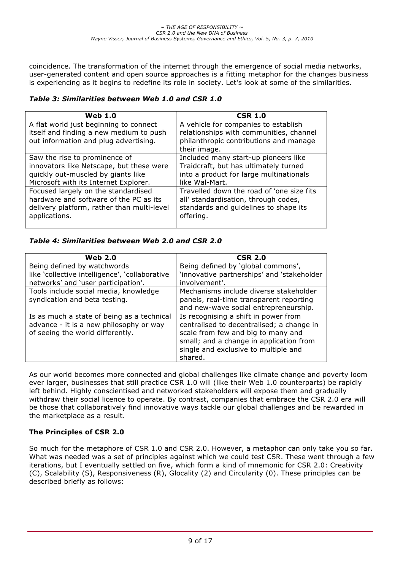coincidence. The transformation of the internet through the emergence of social media networks, user-generated content and open source approaches is a fitting metaphor for the changes business is experiencing as it begins to redefine its role in society. Let's look at some of the similarities.

*Table 3: Similarities between Web 1.0 and CSR 1.0*

| <b>Web 1.0</b>                             | <b>CSR 1.0</b>                            |
|--------------------------------------------|-------------------------------------------|
| A flat world just beginning to connect     | A vehicle for companies to establish      |
| itself and finding a new medium to push    | relationships with communities, channel   |
| out information and plug advertising.      | philanthropic contributions and manage    |
|                                            | their image.                              |
| Saw the rise to prominence of              | Included many start-up pioneers like      |
| innovators like Netscape, but these were   | Traidcraft, but has ultimately turned     |
| quickly out-muscled by giants like         | into a product for large multinationals   |
| Microsoft with its Internet Explorer.      | like Wal-Mart.                            |
| Focused largely on the standardised        | Travelled down the road of 'one size fits |
| hardware and software of the PC as its     | all' standardisation, through codes,      |
| delivery platform, rather than multi-level | standards and guidelines to shape its     |
| applications.                              | offering.                                 |

## *Table 4: Similarities between Web 2.0 and CSR 2.0*

| <b>Web 2.0</b>                                 | <b>CSR 2.0</b>                             |
|------------------------------------------------|--------------------------------------------|
| Being defined by watchwords                    | Being defined by 'global commons',         |
| like 'collective intelligence', 'collaborative | 'innovative partnerships' and 'stakeholder |
| networks' and 'user participation'.            | involvement'.                              |
| Tools include social media, knowledge          | Mechanisms include diverse stakeholder     |
| syndication and beta testing.                  | panels, real-time transparent reporting    |
|                                                | and new-wave social entrepreneurship.      |
| Is as much a state of being as a technical     | Is recognising a shift in power from       |
| advance - it is a new philosophy or way        | centralised to decentralised; a change in  |
| of seeing the world differently.               | scale from few and big to many and         |
|                                                | small; and a change in application from    |
|                                                | single and exclusive to multiple and       |
|                                                | shared.                                    |

As our world becomes more connected and global challenges like climate change and poverty loom ever larger, businesses that still practice CSR 1.0 will (like their Web 1.0 counterparts) be rapidly left behind. Highly conscientised and networked stakeholders will expose them and gradually withdraw their social licence to operate. By contrast, companies that embrace the CSR 2.0 era will be those that collaboratively find innovative ways tackle our global challenges and be rewarded in the marketplace as a result.

## **The Principles of CSR 2.0**

So much for the metaphore of CSR 1.0 and CSR 2.0. However, a metaphor can only take you so far. What was needed was a set of principles against which we could test CSR. These went through a few iterations, but I eventually settled on five, which form a kind of mnemonic for CSR 2.0: Creativity (C), Scalability (S), Responsiveness (R), Glocality (2) and Circularity (0). These principles can be described briefly as follows: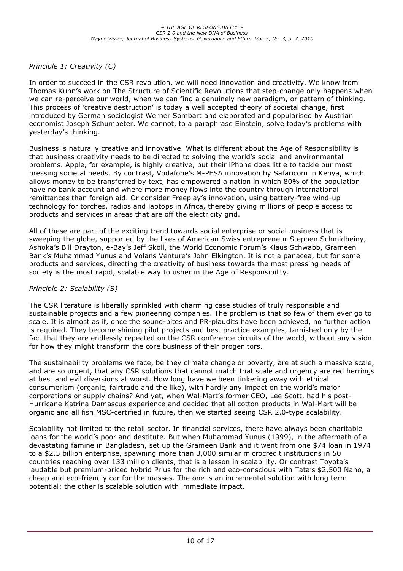## *Principle 1: Creativity (C)*

In order to succeed in the CSR revolution, we will need innovation and creativity. We know from Thomas Kuhn's work on The Structure of Scientific Revolutions that step-change only happens when we can re-perceive our world, when we can find a genuinely new paradigm, or pattern of thinking. This process of 'creative destruction' is today a well accepted theory of societal change, first introduced by German sociologist Werner Sombart and elaborated and popularised by Austrian economist Joseph Schumpeter. We cannot, to a paraphrase Einstein, solve today's problems with yesterday's thinking.

Business is naturally creative and innovative. What is different about the Age of Responsibility is that business creativity needs to be directed to solving the world's social and environmental problems. Apple, for example, is highly creative, but their iPhone does little to tackle our most pressing societal needs. By contrast, Vodafone's M-PESA innovation by Safaricom in Kenya, which allows money to be transferred by text, has empowered a nation in which 80% of the population have no bank account and where more money flows into the country through international remittances than foreign aid. Or consider Freeplay's innovation, using battery-free wind-up technology for torches, radios and laptops in Africa, thereby giving millions of people access to products and services in areas that are off the electricity grid.

All of these are part of the exciting trend towards social enterprise or social business that is sweeping the globe, supported by the likes of American Swiss entrepreneur Stephen Schmidheiny, Ashoka's Bill Drayton, e-Bay's Jeff Skoll, the World Economic Forum's Klaus Schwabb, Grameen Bank's Muhammad Yunus and Volans Venture's John Elkington. It is not a panacea, but for some products and services, directing the creativity of business towards the most pressing needs of society is the most rapid, scalable way to usher in the Age of Responsibility.

#### *Principle 2: Scalability (S)*

The CSR literature is liberally sprinkled with charming case studies of truly responsible and sustainable projects and a few pioneering companies. The problem is that so few of them ever go to scale. It is almost as if, once the sound-bites and PR-plaudits have been achieved, no further action is required. They become shining pilot projects and best practice examples, tarnished only by the fact that they are endlessly repeated on the CSR conference circuits of the world, without any vision for how they might transform the core business of their progenitors.

The sustainability problems we face, be they climate change or poverty, are at such a massive scale, and are so urgent, that any CSR solutions that cannot match that scale and urgency are red herrings at best and evil diversions at worst. How long have we been tinkering away with ethical consumerism (organic, fairtrade and the like), with hardly any impact on the world's major corporations or supply chains? And yet, when Wal-Mart's former CEO, Lee Scott, had his post-Hurricane Katrina Damascus experience and decided that all cotton products in Wal-Mart will be organic and all fish MSC-certified in future, then we started seeing CSR 2.0-type scalability.

Scalability not limited to the retail sector. In financial services, there have always been charitable loans for the world's poor and destitute. But when Muhammad Yunus (1999), in the aftermath of a devastating famine in Bangladesh, set up the Grameen Bank and it went from one \$74 loan in 1974 to a \$2.5 billion enterprise, spawning more than 3,000 similar microcredit institutions in 50 countries reaching over 133 million clients, that is a lesson in scalability. Or contrast Toyota's laudable but premium-priced hybrid Prius for the rich and eco-conscious with Tata's \$2,500 Nano, a cheap and eco-friendly car for the masses. The one is an incremental solution with long term potential; the other is scalable solution with immediate impact.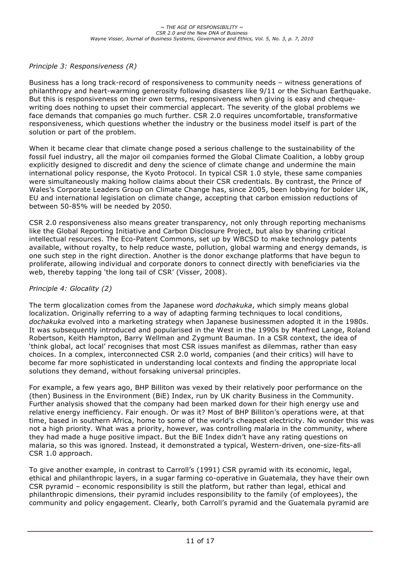## *Principle 3: Responsiveness (R)*

Business has a long track-record of responsiveness to community needs – witness generations of philanthropy and heart-warming generosity following disasters like 9/11 or the Sichuan Earthquake. But this is responsiveness on their own terms, responsiveness when giving is easy and chequewriting does nothing to upset their commercial applecart. The severity of the global problems we face demands that companies go much further. CSR 2.0 requires uncomfortable, transformative responsiveness, which questions whether the industry or the business model itself is part of the solution or part of the problem.

When it became clear that climate change posed a serious challenge to the sustainability of the fossil fuel industry, all the major oil companies formed the Global Climate Coalition, a lobby group explicitly designed to discredit and deny the science of climate change and undermine the main international policy response, the Kyoto Protocol. In typical CSR 1.0 style, these same companies were simultaneously making hollow claims about their CSR credentials. By contrast, the Prince of Wales's Corporate Leaders Group on Climate Change has, since 2005, been lobbying for bolder UK, EU and international legislation on climate change, accepting that carbon emission reductions of between 50-85% will be needed by 2050.

CSR 2.0 responsiveness also means greater transparency, not only through reporting mechanisms like the Global Reporting Initiative and Carbon Disclosure Project, but also by sharing critical intellectual resources. The Eco-Patent Commons, set up by WBCSD to make technology patents available, without royalty, to help reduce waste, pollution, global warming and energy demands, is one such step in the right direction. Another is the donor exchange platforms that have begun to proliferate, allowing individual and corporate donors to connect directly with beneficiaries via the web, thereby tapping 'the long tail of CSR' (Visser, 2008).

## *Principle 4: Glocality (2)*

The term glocalization comes from the Japanese word *dochakuka*, which simply means global localization. Originally referring to a way of adapting farming techniques to local conditions, *dochakuka* evolved into a marketing strategy when Japanese businessmen adopted it in the 1980s. It was subsequently introduced and popularised in the West in the 1990s by Manfred Lange, Roland Robertson, Keith Hampton, Barry Wellman and Zygmunt Bauman. In a CSR context, the idea of 'think global, act local' recognises that most CSR issues manifest as dilemmas, rather than easy choices. In a complex, interconnected CSR 2.0 world, companies (and their critics) will have to become far more sophisticated in understanding local contexts and finding the appropriate local solutions they demand, without forsaking universal principles.

For example, a few years ago, BHP Billiton was vexed by their relatively poor performance on the (then) Business in the Environment (BiE) Index, run by UK charity Business in the Community. Further analysis showed that the company had been marked down for their high energy use and relative energy inefficiency. Fair enough. Or was it? Most of BHP Billiton's operations were, at that time, based in southern Africa, home to some of the world's cheapest electricity. No wonder this was not a high priority. What was a priority, however, was controlling malaria in the community, where they had made a huge positive impact. But the BiE Index didn't have any rating questions on malaria, so this was ignored. Instead, it demonstrated a typical, Western-driven, one-size-fits-all CSR 1.0 approach.

To give another example, in contrast to Carroll's (1991) CSR pyramid with its economic, legal, ethical and philanthropic layers, in a sugar farming co-operative in Guatemala, they have their own CSR pyramid – economic responsibility is still the platform, but rather than legal, ethical and philanthropic dimensions, their pyramid includes responsibility to the family (of employees), the community and policy engagement. Clearly, both Carroll's pyramid and the Guatemala pyramid are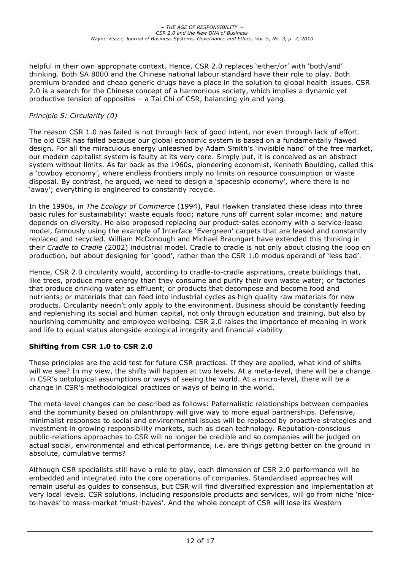helpful in their own appropriate context. Hence, CSR 2.0 replaces 'either/or' with 'both/and' thinking. Both SA 8000 and the Chinese national labour standard have their role to play. Both premium branded and cheap generic drugs have a place in the solution to global health issues. CSR 2.0 is a search for the Chinese concept of a harmonious society, which implies a dynamic yet productive tension of opposites – a Tai Chi of CSR, balancing yin and yang.

## *Principle 5: Circularity (0)*

The reason CSR 1.0 has failed is not through lack of good intent, nor even through lack of effort. The old CSR has failed because our global economic system is based on a fundamentally flawed design. For all the miraculous energy unleashed by Adam Smith's 'invisible hand' of the free market, our modern capitalist system is faulty at its very core. Simply put, it is conceived as an abstract system without limits. As far back as the 1960s, pioneering economist, Kenneth Boulding, called this a 'cowboy economy', where endless frontiers imply no limits on resource consumption or waste disposal. By contrast, he argued, we need to design a 'spaceship economy', where there is no 'away'; everything is engineered to constantly recycle.

In the 1990s, in *The Ecology of Commerce* (1994), Paul Hawken translated these ideas into three basic rules for sustainability: waste equals food; nature runs off current solar income; and nature depends on diversity. He also proposed replacing our product-sales economy with a service-lease model, famously using the example of Interface 'Evergreen' carpets that are leased and constantly replaced and recycled. William McDonough and Michael Braungart have extended this thinking in their *Cradle to Cradle* (2002) industrial model. Cradle to cradle is not only about closing the loop on production, but about designing for 'good', rather than the CSR 1.0 modus operandi of 'less bad'.

Hence, CSR 2.0 circularity would, according to cradle-to-cradle aspirations, create buildings that, like trees, produce more energy than they consume and purify their own waste water; or factories that produce drinking water as effluent; or products that decompose and become food and nutrients; or materials that can feed into industrial cycles as high quality raw materials for new products. Circularity needn't only apply to the environment. Business should be constantly feeding and replenishing its social and human capital, not only through education and training, but also by nourishing community and employee wellbeing. CSR 2.0 raises the importance of meaning in work and life to equal status alongside ecological integrity and financial viability.

## **Shifting from CSR 1.0 to CSR 2.0**

These principles are the acid test for future CSR practices. If they are applied, what kind of shifts will we see? In my view, the shifts will happen at two levels. At a meta-level, there will be a change in CSR's ontological assumptions or ways of seeing the world. At a micro-level, there will be a change in CSR's methodological practices or ways of being in the world.

The meta-level changes can be described as follows: Paternalistic relationships between companies and the community based on philanthropy will give way to more equal partnerships. Defensive, minimalist responses to social and environmental issues will be replaced by proactive strategies and investment in growing responsibility markets, such as clean technology. Reputation-conscious public-relations approaches to CSR will no longer be credible and so companies will be judged on actual social, environmental and ethical performance, i.e. are things getting better on the ground in absolute, cumulative terms?

Although CSR specialists still have a role to play, each dimension of CSR 2.0 performance will be embedded and integrated into the core operations of companies. Standardised approaches will remain useful as guides to consensus, but CSR will find diversified expression and implementation at very local levels. CSR solutions, including responsible products and services, will go from niche 'niceto-haves' to mass-market 'must-haves'. And the whole concept of CSR will lose its Western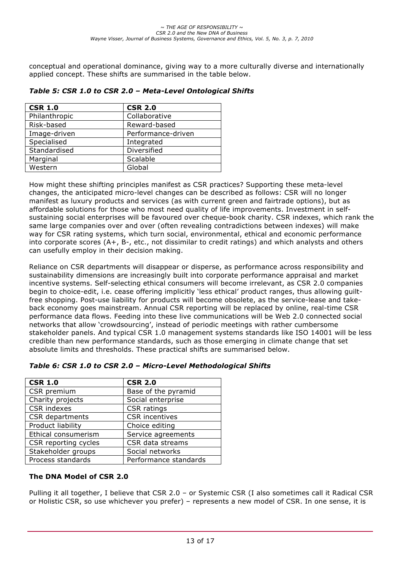conceptual and operational dominance, giving way to a more culturally diverse and internationally applied concept. These shifts are summarised in the table below.

| <b>CSR 1.0</b> | <b>CSR 2.0</b>     |
|----------------|--------------------|
| Philanthropic  | Collaborative      |
| Risk-based     | Reward-based       |
| Image-driven   | Performance-driven |
| Specialised    | Integrated         |
| Standardised   | Diversified        |
| Marginal       | Scalable           |
| Western        | Global             |

#### *Table 5: CSR 1.0 to CSR 2.0 – Meta-Level Ontological Shifts*

How might these shifting principles manifest as CSR practices? Supporting these meta-level changes, the anticipated micro-level changes can be described as follows: CSR will no longer manifest as luxury products and services (as with current green and fairtrade options), but as affordable solutions for those who most need quality of life improvements. Investment in selfsustaining social enterprises will be favoured over cheque-book charity. CSR indexes, which rank the same large companies over and over (often revealing contradictions between indexes) will make way for CSR rating systems, which turn social, environmental, ethical and economic performance into corporate scores (A+, B-, etc., not dissimilar to credit ratings) and which analysts and others can usefully employ in their decision making.

Reliance on CSR departments will disappear or disperse, as performance across responsibility and sustainability dimensions are increasingly built into corporate performance appraisal and market incentive systems. Self-selecting ethical consumers will become irrelevant, as CSR 2.0 companies begin to choice-edit, i.e. cease offering implicitly 'less ethical' product ranges, thus allowing guiltfree shopping. Post-use liability for products will become obsolete, as the service-lease and takeback economy goes mainstream. Annual CSR reporting will be replaced by online, real-time CSR performance data flows. Feeding into these live communications will be Web 2.0 connected social networks that allow 'crowdsourcing', instead of periodic meetings with rather cumbersome stakeholder panels. And typical CSR 1.0 management systems standards like ISO 14001 will be less credible than new performance standards, such as those emerging in climate change that set absolute limits and thresholds. These practical shifts are summarised below.

| <b>CSR 1.0</b>       | <b>CSR 2.0</b>        |
|----------------------|-----------------------|
| CSR premium          | Base of the pyramid   |
| Charity projects     | Social enterprise     |
| <b>CSR</b> indexes   | CSR ratings           |
| CSR departments      | <b>CSR</b> incentives |
| Product liability    | Choice editing        |
| Ethical consumerism  | Service agreements    |
| CSR reporting cycles | CSR data streams      |
| Stakeholder groups   | Social networks       |
| Process standards    | Performance standards |

## *Table 6: CSR 1.0 to CSR 2.0 – Micro-Level Methodological Shifts*

## **The DNA Model of CSR 2.0**

Pulling it all together, I believe that CSR 2.0 – or Systemic CSR (I also sometimes call it Radical CSR or Holistic CSR, so use whichever you prefer) – represents a new model of CSR. In one sense, it is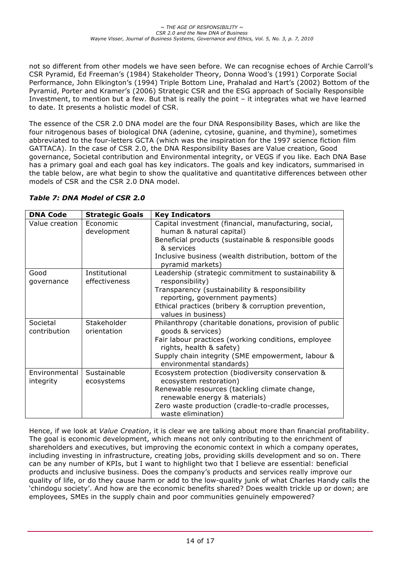not so different from other models we have seen before. We can recognise echoes of Archie Carroll's CSR Pyramid, Ed Freeman's (1984) Stakeholder Theory, Donna Wood's (1991) Corporate Social Performance, John Elkington's (1994) Triple Bottom Line, Prahalad and Hart's (2002) Bottom of the Pyramid, Porter and Kramer's (2006) Strategic CSR and the ESG approach of Socially Responsible Investment, to mention but a few. But that is really the point – it integrates what we have learned to date. It presents a holistic model of CSR.

The essence of the CSR 2.0 DNA model are the four DNA Responsibility Bases, which are like the four nitrogenous bases of biological DNA (adenine, cytosine, guanine, and thymine), sometimes abbreviated to the four-letters GCTA (which was the inspiration for the 1997 science fiction film GATTACA). In the case of CSR 2.0, the DNA Responsibility Bases are Value creation, Good governance, Societal contribution and Environmental integrity, or VEGS if you like. Each DNA Base has a primary goal and each goal has key indicators. The goals and key indicators, summarised in the table below, are what begin to show the qualitative and quantitative differences between other models of CSR and the CSR 2.0 DNA model.

| <b>DNA Code</b>    | <b>Strategic Goals</b>         | <b>Key Indicators</b>                                                                                                                                                                                                                 |
|--------------------|--------------------------------|---------------------------------------------------------------------------------------------------------------------------------------------------------------------------------------------------------------------------------------|
| Value creation     | Economic<br>development        | Capital investment (financial, manufacturing, social,<br>human & natural capital)<br>Beneficial products (sustainable & responsible goods<br>& services<br>Inclusive business (wealth distribution, bottom of the<br>pyramid markets) |
| Good<br>governance | Institutional<br>effectiveness | Leadership (strategic commitment to sustainability &<br>responsibility)                                                                                                                                                               |

## *Table 7: DNA Model of CSR 2.0*

|               | Inclusive business (wealth distribution, bottom of the<br>pyramid markets)      |
|---------------|---------------------------------------------------------------------------------|
| Institutional | Leadership (strategic commitment to sustainability &                            |
|               | responsibility)                                                                 |
|               | Transparency (sustainability & responsibility                                   |
|               | reporting, government payments)                                                 |
|               | Ethical practices (bribery & corruption prevention,                             |
|               | values in business)                                                             |
| Stakeholder   | Philanthropy (charitable donations, provision of public                         |
| orientation   | goods & services)                                                               |
|               | Fair labour practices (working conditions, employee<br>rights, health & safety) |
|               | Supply chain integrity (SME empowerment, labour &<br>environmental standards)   |
| Sustainable   | Ecosystem protection (biodiversity conservation &                               |
| ecosystems    | ecosystem restoration)                                                          |
|               | Renewable resources (tackling climate change,                                   |
|               | renewable energy & materials)                                                   |
|               | Zero waste production (cradle-to-cradle processes,<br>waste elimination)        |
|               | effectiveness                                                                   |

Hence, if we look at *Value Creation*, it is clear we are talking about more than financial profitability. The goal is economic development, which means not only contributing to the enrichment of shareholders and executives, but improving the economic context in which a company operates, including investing in infrastructure, creating jobs, providing skills development and so on. There can be any number of KPIs, but I want to highlight two that I believe are essential: beneficial products and inclusive business. Does the company's products and services really improve our quality of life, or do they cause harm or add to the low-quality junk of what Charles Handy calls the 'chindogu society'. And how are the economic benefits shared? Does wealth trickle up or down; are employees, SMEs in the supply chain and poor communities genuinely empowered?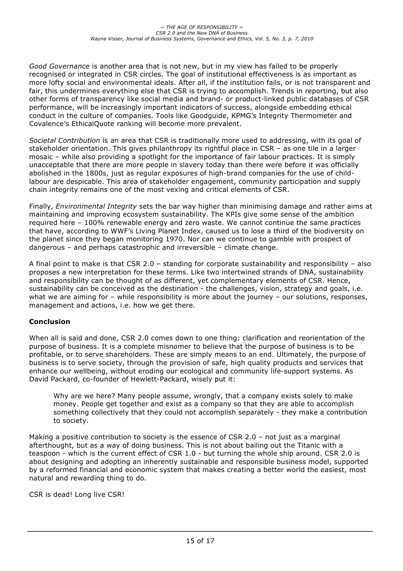*Good Governance* is another area that is not new, but in my view has failed to be properly recognised or integrated in CSR circles. The goal of institutional effectiveness is as important as more lofty social and environmental ideals. After all, if the institution fails, or is not transparent and fair, this undermines everything else that CSR is trying to accomplish. Trends in reporting, but also other forms of transparency like social media and brand- or product-linked public databases of CSR performance, will be increasingly important indicators of success, alongside embedding ethical conduct in the culture of companies. Tools like Goodguide, KPMG's Integrity Thermometer and Covalence's EthicalQuote ranking will become more prevalent.

*Societal Contribution* is an area that CSR is traditionally more used to addressing, with its goal of stakeholder orientation. This gives philanthropy its rightful place in CSR – as one tile in a larger mosaic – while also providing a spotlight for the importance of fair labour practices. It is simply unacceptable that there are more people in slavery today than there were before it was officially abolished in the 1800s, just as regular exposures of high-brand companies for the use of childlabour are despicable. This area of stakeholder engagement, community participation and supply chain integrity remains one of the most vexing and critical elements of CSR.

Finally, *Environmental Integrity* sets the bar way higher than minimising damage and rather aims at maintaining and improving ecosystem sustainability. The KPIs give some sense of the ambition required here – 100% renewable energy and zero waste. We cannot continue the same practices that have, according to WWF's Living Planet Index, caused us to lose a third of the biodiversity on the planet since they began monitoring 1970. Nor can we continue to gamble with prospect of dangerous – and perhaps catastrophic and irreversible – climate change.

A final point to make is that CSR 2.0 – standing for corporate sustainability and responsibility – also proposes a new interpretation for these terms. Like two intertwined strands of DNA, sustainability and responsibility can be thought of as different, yet complementary elements of CSR. Hence, sustainability can be conceived as the destination - the challenges, vision, strategy and goals, i.e. what we are aiming for – while responsibility is more about the journey – our solutions, responses, management and actions, i.e. how we get there.

## **Conclusion**

When all is said and done, CSR 2.0 comes down to one thing: clarification and reorientation of the purpose of business. It is a complete misnomer to believe that the purpose of business is to be profitable, or to serve shareholders. These are simply means to an end. Ultimately, the purpose of business is to serve society, through the provision of safe, high quality products and services that enhance our wellbeing, without eroding our ecological and community life-support systems. As David Packard, co-founder of Hewlett-Packard, wisely put it:

Why are we here? Many people assume, wrongly, that a company exists solely to make money. People get together and exist as a company so that they are able to accomplish something collectively that they could not accomplish separately - they make a contribution to society.

Making a positive contribution to society is the essence of CSR 2.0 - not just as a marginal afterthought, but as a way of doing business. This is not about bailing out the Titanic with a teaspoon - which is the current effect of CSR 1.0 - but turning the whole ship around. CSR 2.0 is about designing and adopting an inherently sustainable and responsible business model, supported by a reformed financial and economic system that makes creating a better world the easiest, most natural and rewarding thing to do.

CSR is dead! Long live CSR!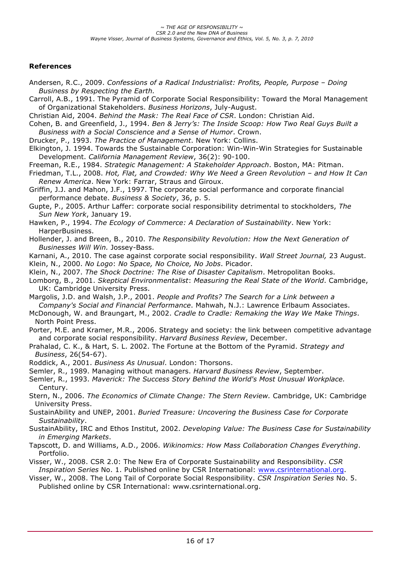#### **References**

- Andersen, R.C., 2009. *Confessions of a Radical Industrialist: Profits, People, Purpose – Doing Business by Respecting the Earth.*
- Carroll, A.B., 1991. The Pyramid of Corporate Social Responsibility: Toward the Moral Management of Organizational Stakeholders. *Business Horizons*, July-August.
- Christian Aid, 2004. *Behind the Mask: The Real Face of CSR*. London: Christian Aid.
- Cohen, B. and Greenfield, J., 1994. *Ben & Jerry's: The Inside Scoop: How Two Real Guys Built a Business with a Social Conscience and a Sense of Humor*. Crown.
- Drucker, P., 1993. *The Practice of Management*. New York: Collins.
- Elkington, J. 1994. Towards the Sustainable Corporation: Win-Win-Win Strategies for Sustainable Development. *California Management Review*, 36(2): 90-100.

Freeman, R.E., 1984. *Strategic Management: A Stakeholder Approach*. Boston, MA: Pitman.

- Friedman, T.L., 2008. *Hot, Flat, and Crowded: Why We Need a Green Revolution – and How It Can Renew America*. New York: Farrar, Straus and Giroux.
- Griffin, J.J. and Mahon, J.F., 1997. The corporate social performance and corporate financial performance debate. *Business & Society*, 36, p. 5.
- Gupte, P., 2005. Arthur Laffer: corporate social responsibility detrimental to stockholders, *The Sun New York*, January 19.
- Hawken, P., 1994. *The Ecology of Commerce: A Declaration of Sustainability*. New York: HarperBusiness.
- Hollender, J. and Breen, B., 2010. *The Responsibility Revolution: How the Next Generation of Businesses Will Win.* Jossey-Bass.
- Karnani, A., 2010. The case against corporate social responsibility. *Wall Street Journal,* 23 August.

Klein, N., 2000. *No Logo*: *No Space, No Choice, No Jobs*. Picador.

- Klein, N., 2007. *The Shock Doctrine: The Rise of Disaster Capitalism*. Metropolitan Books.
- Lomborg, B., 2001. *Skeptical Environmentalist*: *Measuring the Real State of the World*. Cambridge, UK: Cambridge University Press.
- Margolis, J.D. and Walsh, J.P., 2001. *People and Profits? The Search for a Link between a Company's Social and Financial Performance*. Mahwah, N.J.: Lawrence Erlbaum Associates.
- McDonough, W. and Braungart, M., 2002. *Cradle to Cradle: Remaking the Way We Make Things*. North Point Press.
- Porter, M.E. and Kramer, M.R., 2006. Strategy and society: the link between competitive advantage and corporate social responsibility. *Harvard Business Review*, December.
- Prahalad, C. K., & Hart, S. L. 2002. The Fortune at the Bottom of the Pyramid. *Strategy and Business*, 26(54-67).
- Roddick, A., 2001. *Business As Unusual*. London: Thorsons.
- Semler, R., 1989. Managing without managers. *Harvard Business Review*, September.
- Semler, R., 1993. *Maverick: The Success Story Behind the World's Most Unusual Workplace.* Century.
- Stern, N., 2006. *The Economics of Climate Change: The Stern Review.* Cambridge, UK: Cambridge University Press.
- SustainAbility and UNEP, 2001. *Buried Treasure: Uncovering the Business Case for Corporate Sustainability*.
- SustainAbility, IRC and Ethos Institut, 2002. *Developing Value: The Business Case for Sustainability in Emerging Markets*.
- Tapscott, D. and Williams, A.D., 2006. *Wikinomics: How Mass Collaboration Changes Everything*. Portfolio.
- Visser, W., 2008. CSR 2.0: The New Era of Corporate Sustainability and Responsibility. *CSR Inspiration Series* No. 1. Published online by CSR International: www.csrinternational.org.
- Visser, W., 2008. The Long Tail of Corporate Social Responsibility. *CSR Inspiration Series* No. 5. Published online by CSR International: www.csrinternational.org.